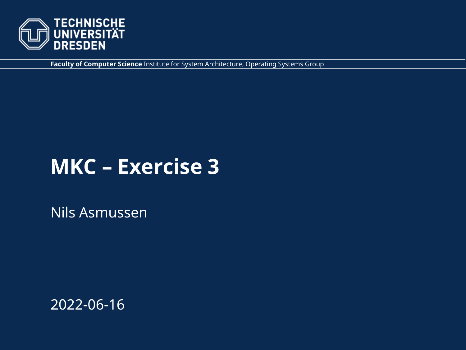

**Faculty of Computer Science** Institute for System Architecture, Operating Systems Group

## **MKC – Exercise 3**

Nils Asmussen

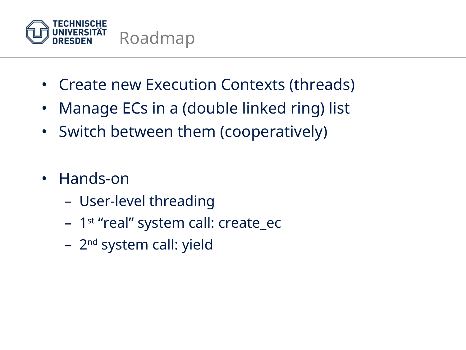

- Create new Execution Contexts (threads)
- Manage ECs in a (double linked ring) list
- Switch between them (cooperatively)
- Hands-on
	- User-level threading
	- 1<sup>st</sup> "real" system call: create ec
	- 2<sup>nd</sup> system call: yield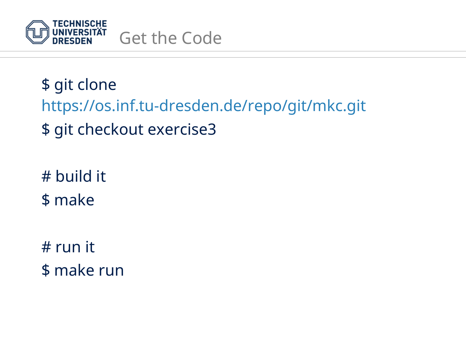

\$ git clone <https://os.inf.tu-dresden.de/repo/git/mkc.git> \$ git checkout exercise3

# build it \$ make

# run it \$ make run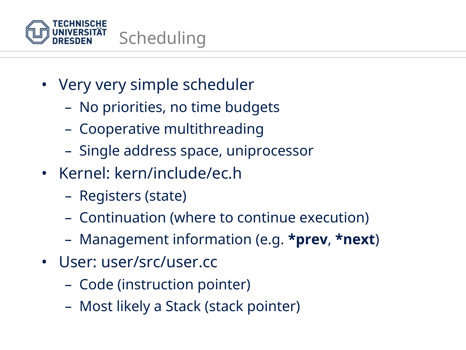

- Very very simple scheduler
	- No priorities, no time budgets
	- Cooperative multithreading
	- Single address space, uniprocessor
- Kernel: kern/include/ec.h
	- Registers (state)
	- Continuation (where to continue execution)
	- Management information (e.g. **\*prev**, **\*next**)
- User: user/src/user.cc
	- Code (instruction pointer)
	- Most likely a Stack (stack pointer)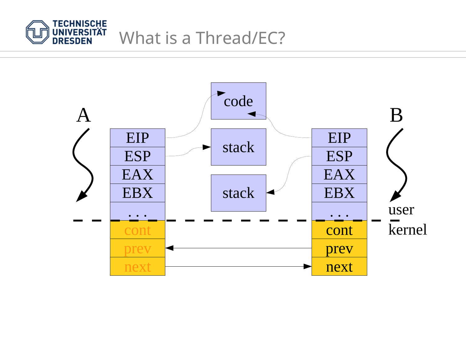

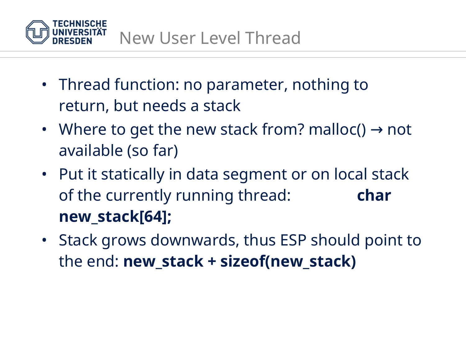

- Thread function: no parameter, nothing to return, but needs a stack
- Where to get the new stack from? malloc()  $\rightarrow$  not available (so far)
- Put it statically in data segment or on local stack of the currently running thread: **char new\_stack[64];**
- Stack grows downwards, thus ESP should point to the end: **new\_stack + sizeof(new\_stack)**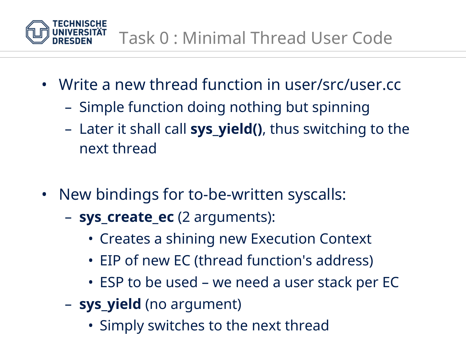

- Write a new thread function in user/src/user.cc
	- Simple function doing nothing but spinning
	- Later it shall call **sys\_yield()**, thus switching to the next thread
- New bindings for to-be-written syscalls:
	- **sys\_create\_ec** (2 arguments):
		- Creates a shining new Execution Context
		- EIP of new EC (thread function's address)
		- ESP to be used we need a user stack per EC
	- **sys\_yield** (no argument)
		- Simply switches to the next thread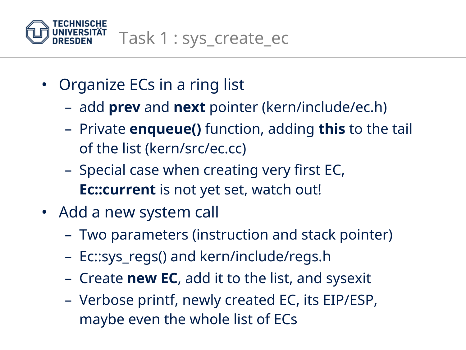

- Organize ECs in a ring list
	- add **prev** and **next** pointer (kern/include/ec.h)
	- Private **enqueue()** function, adding **this** to the tail of the list (kern/src/ec.cc)
	- Special case when creating very first EC, **Ec::current** is not yet set, watch out!
- Add a new system call
	- Two parameters (instruction and stack pointer)
	- Ec::sys\_regs() and kern/include/regs.h
	- Create **new EC**, add it to the list, and sysexit
	- Verbose printf, newly created EC, its EIP/ESP, maybe even the whole list of ECs